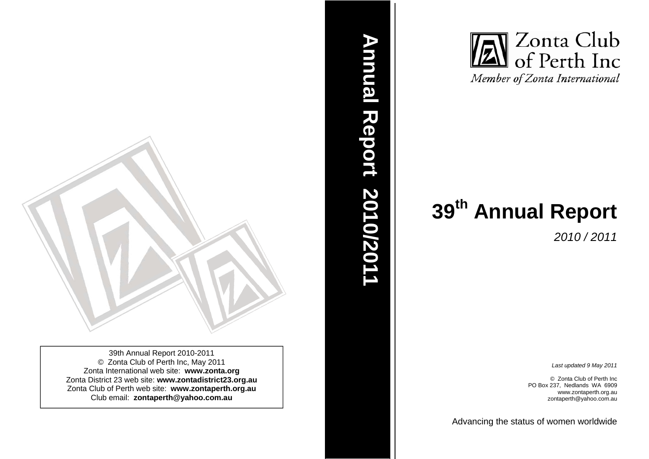

39th Annual Report 2010-2011 © Zonta Club of Perth Inc, May 2011 Zonta International web site: **www.zonta.org**  Zonta District 23 web site: **www.zontadistrict23.org.au** Zonta Club of Perth web site: **www.zontaperth.org.au**  Club email: **zontaperth@yahoo.com.au**



*2010 / 2011* 

*Last updated 9 May 2011* 

© Zonta Club of Perth Inc PO Box 237, Nedlands WA 6909 www.zontaperth.org.au zontaperth@yahoo.com.au

Advancin g the status of women worldwide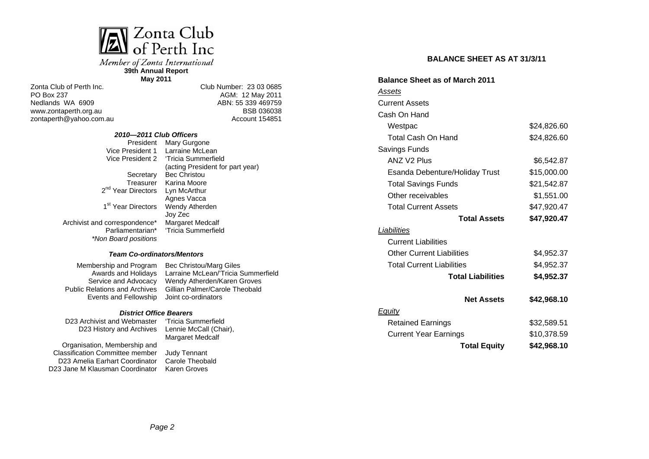

Member of Zonta International **39th Annual Report** 

**May 2011**

Zonta Club of Perth Inc. PO Box 237 Nedlands WA 6909 www.zontaperth.org.au zontaperth@yahoo.com.au Club Number: 23 03 0685 AGM: 12 May 2011 ABN: 55 339 469759 BSB 036038 Account 154851

#### *2010—2011 Club Officers*

President Mary Gurgone Vice President 1

Vice President 2 'Tricia Summerfield Secretary Bec Christou Treasurer Karina Moore 2<sup>nd</sup> Year Directors 1<sup>st</sup> Year Directors Wendy Atherden Archivist and correspondence\* Parliamentarian\* Larraine McLean (acting President for part year) Lyn McArthur Agnes Vacca Joy Zec Margaret Medcalf 'Tricia Summerfield

# *Team Co-ordinators/Mentors*

Membership and Program Awards and Holidays Service and Advocacy Public Relations and Archives Events and Fellowship

*\*Non Board positions* 

Bec Christou/Marg Giles Larraine McLean/'Tricia Summerfield Wendy Atherden/Karen Groves Gillian Palmer/Carole Theobald Joint co-ordinators

#### *District Office Bearers*

D23 Archivist and Webmaster D23 History and Archives 'Tricia Summerfield

Organisation, Membership and Classification Committee member D23 Amelia Earhart Coordinator D23 Jane M Klausman Coordinator

Lennie McCall (Chair), Margaret Medcalf Judy Tennant Carole Theobald

Karen Groves

**BALANCE SHEET AS AT 31/3/11**

| <b>Balance Sheet as of March 2011</b> |             |
|---------------------------------------|-------------|
| <u>Assets</u>                         |             |
| <b>Current Assets</b>                 |             |
| Cash On Hand                          |             |
| Westpac                               | \$24,826.60 |
| <b>Total Cash On Hand</b>             | \$24,826.60 |
| Savings Funds                         |             |
| <b>ANZ V2 Plus</b>                    | \$6,542.87  |
| Esanda Debenture/Holiday Trust        | \$15,000.00 |
| <b>Total Savings Funds</b>            | \$21,542.87 |
| Other receivables                     | \$1,551.00  |
| <b>Total Current Assets</b>           | \$47,920.47 |
| <b>Total Assets</b>                   | \$47,920.47 |
| Liabilities                           |             |
| <b>Current Liabilities</b>            |             |
| <b>Other Current Liabilities</b>      | \$4,952.37  |
| <b>Total Current Liabilities</b>      | \$4,952.37  |
| <b>Total Liabilities</b>              | \$4,952.37  |
| <b>Net Assets</b>                     | \$42,968.10 |
| <b>Equity</b>                         |             |
| <b>Retained Earnings</b>              | \$32,589.51 |
| <b>Current Year Earnings</b>          | \$10,378.59 |
| <b>Total Equity</b>                   | \$42,968.10 |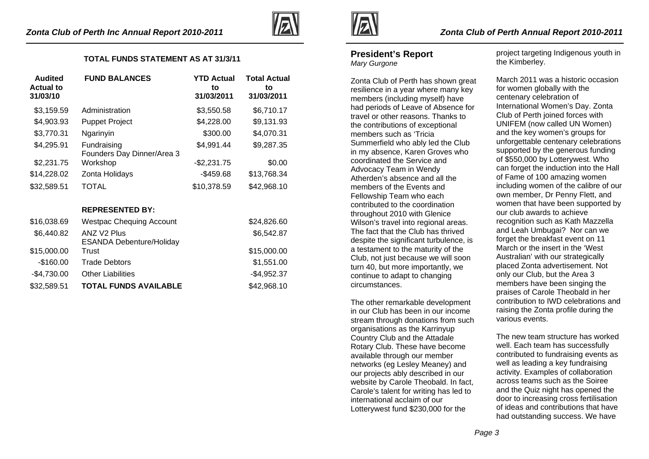

### **TOTAL FUNDS STATEMENT AS AT 31/3/11**

| Audited<br><b>Actual to</b><br>31/03/10 | <b>FUND BALANCES</b>                      | <b>YTD Actual</b><br>to<br>31/03/2011 | <b>Total Actual</b><br>to<br>31/03/2011 |
|-----------------------------------------|-------------------------------------------|---------------------------------------|-----------------------------------------|
| \$3,159.59                              | Administration                            | \$3,550.58                            | \$6,710.17                              |
| \$4,903.93                              | <b>Puppet Project</b>                     | \$4,228.00                            | \$9,131.93                              |
| \$3,770.31                              | Ngarinyin                                 | \$300.00                              | \$4,070.31                              |
| \$4,295.91                              | Fundraising<br>Founders Day Dinner/Area 3 | \$4,991.44                            | \$9,287.35                              |
| \$2,231.75                              | Workshop                                  | $-$2,231.75$                          | \$0.00                                  |
| \$14,228.02                             | Zonta Holidays                            | $-$459.68$                            | \$13,768.34                             |
| \$32,589.51                             | TOTAL                                     | \$10,378.59                           | \$42,968.10                             |

### **REPRESENTED BY:**

| \$16,038.69  | <b>Westpac Chequing Account</b>                            | \$24,826.60  |
|--------------|------------------------------------------------------------|--------------|
| \$6,440.82   | ANZ V <sub>2</sub> Plus<br><b>ESANDA Debenture/Holiday</b> | \$6,542.87   |
| \$15,000.00  | Trust                                                      | \$15,000.00  |
| $-$160.00$   | <b>Trade Debtors</b>                                       | \$1,551.00   |
| $-$4,730.00$ | <b>Other Liabilities</b>                                   | $-$4,952.37$ |
| \$32,589.51  | <b>TOTAL FUNDS AVAILABLE</b>                               | \$42,968.10  |



# **President's Report**

*Mary Gurgone* 

Zonta Club of Perth has shown great resilience in a year where many key members (including myself) have had periods of Leave of Absence for travel or other reasons. Thanks to the contributions of exceptional members such as 'Tricia Summerfield who ably led the Club in my absence, Karen Groves who coordinated the Service and Advocacy Team in Wendy Atherden's absence and all the members of the Events and Fellowship Team who each contributed to the coordination throughout 2010 with Glenice Wilson's travel into regional areas. The fact that the Club has thrived despite the significant turbulence, is a testament to the maturity of the Club, not just because we will soon turn 40, but more importantly, we continue to adapt to changing circumstances.

The other remarkable development in our Club has been in our income stream through donations from such organisations as the Karrinyup Country Club and the Attadale Rotary Club. These have become available through our member networks (eg Lesley Meaney) and our projects ably described in our website by Carole Theobald. In fact, Carole's talent for writing has led to international acclaim of our Lotterywest fund \$230,000 for the

project targeting Indigenous youth in the Kimberley.

March 2011 was a historic occasion for women globally with the centenary celebration of International Women's Day. Zonta Club of Perth joined forces with UNIFEM (now called UN Women) and the key women's groups for unforgettable centenary celebrations supported by the generous funding of \$550,000 by Lotterywest. Who can forget the induction into the Hall of Fame of 100 amazing women including women of the calibre of our own member, Dr Penny Flett, and women that have been supported by our club awards to achieve recognition such as Kath Mazzella and Leah Umbugai? Nor can we forget the breakfast event on 11 March or the insert in the 'West Australian' with our strategically placed Zonta advertisement. Not only our Club, but the Area 3 members have been singing the praises of Carole Theobald in her contribution to IWD celebrations and raising the Zonta profile during the various events.

The new team structure has worked well. Each team has successfully contributed to fundraising events as well as leading a key fundraising activity. Examples of collaboration across teams such as the Soiree and the Quiz night has opened the door to increasing cross fertilisation of ideas and contributions that have had outstanding success. We have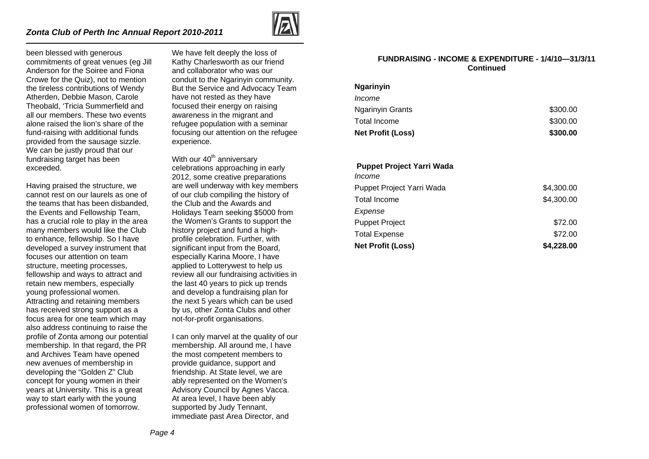

been blessed with generous commitments of great venues (eg Jill Anderson for the Soiree and Fiona Crowe for the Quiz), not to mention the tireless contributions of Wendy Atherden, Debbie Mason, Carole Theobald, 'Tricia Summerfield and all our members. These two events alone raised the lion's share of the fund-raising with additional funds provided from the sausage sizzle. We can be justly proud that our fundraising target has been exceeded.

Having praised the structure, we cannot rest on our laurels as one of the teams that has been disbanded, the Events and Fellowship Team, has a crucial role to play in the area many members would like the Club to enhance, fellowship. So I have developed a survey instrument that focuses our attention on team structure, meeting processes, fellowship and ways to attract and retain new members, especially young professional women. Attracting and retaining members has received strong support as a focus area for one team which may also address continuing to raise the profile of Zonta among our potential membership. In that regard, the PR and Archives Team have opened new avenues of membership in developing the "Golden Z" Club concept for young women in their years at University. This is a great way to start early with the young professional women of tomorrow.

We have felt deeply the loss of Kathy Charlesworth as our friend and collaborator who was our conduit to the Ngarinyin community. But the Service and Advocacy Team have not rested as they have focused their energy on raising awareness in the migrant and refugee population with a seminar focusing our attention on the refugee experience.

With our  $40<sup>th</sup>$  anniversary celebrations approaching in early 2012, some creative preparations are well underway with key members of our club compiling the history of the Club and the Awards and Holidays Team seeking \$5000 from the Women's Grants to support the history project and fund a highprofile celebration. Further, with significant input from the Board, especially Karina Moore, I have applied to Lotterywest to help us review all our fundraising activities in the last 40 years to pick up trends and develop a fundraising plan for the next 5 years which can be used by us, other Zonta Clubs and other not-for-profit organisations.

I can only marvel at the quality of our membership. All around me, I have the most competent members to provide guidance, support and friendship. At State level, we are ably represented on the Women's Advisory Council by Agnes Vacca. At area level, I have been ably supported by Judy Tennant, immediate past Area Director, and

#### **FUNDRAISING - INCOME & EXPENDITURE - 1/4/10—31/3/11 Continued**

### **Ngarinyin**

| <b>Net Profit (Loss)</b> | \$300.00 |
|--------------------------|----------|
| Total Income             | \$300.00 |
| Ngarinyin Grants         | \$300.00 |
| <i>Income</i>            |          |

#### **Puppet Project Yarri Wada**

| <b>Net Profit (Loss)</b>  | \$4,228.00 |
|---------------------------|------------|
| <b>Total Expense</b>      | \$72.00    |
| <b>Puppet Project</b>     | \$72.00    |
| Expense                   |            |
| <b>Total Income</b>       | \$4,300.00 |
| Puppet Project Yarri Wada | \$4,300.00 |
| Income                    |            |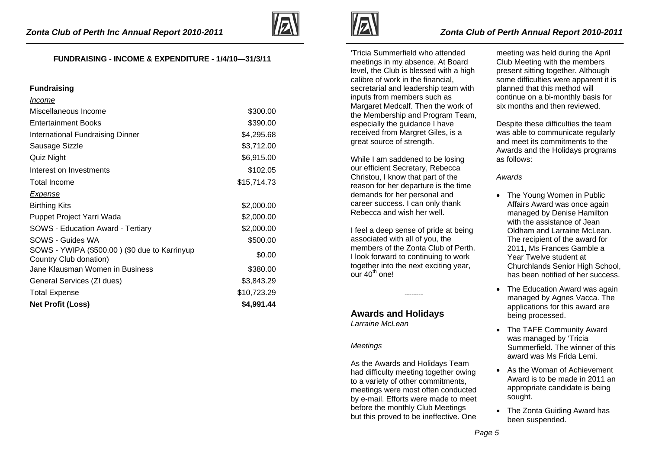

### **FUNDRAISING - INCOME & EXPENDITURE - 1/4/10—31/3/11**

#### **Fundraising**

| Income                                                                  |             |
|-------------------------------------------------------------------------|-------------|
| Miscellaneous Income                                                    | \$300.00    |
| <b>Entertainment Books</b>                                              | \$390.00    |
| International Fundraising Dinner                                        | \$4,295.68  |
| Sausage Sizzle                                                          | \$3,712.00  |
| Quiz Night                                                              | \$6,915.00  |
| Interest on Investments                                                 | \$102.05    |
| <b>Total Income</b>                                                     | \$15,714.73 |
| <b>Expense</b>                                                          |             |
| <b>Birthing Kits</b>                                                    | \$2,000.00  |
| Puppet Project Yarri Wada                                               | \$2,000.00  |
| <b>SOWS - Education Award - Tertiary</b>                                | \$2,000.00  |
| SOWS - Guides WA                                                        | \$500.00    |
| SOWS - YWIPA (\$500.00) (\$0 due to Karrinyup<br>Country Club donation) | \$0.00      |
| Jane Klausman Women in Business                                         | \$380.00    |
| General Services (ZI dues)                                              | \$3,843.29  |
| <b>Total Expense</b>                                                    | \$10,723.29 |
| <b>Net Profit (Loss)</b>                                                | \$4,991.44  |



'Tricia Summerfield who attended meetings in my absence. At Board level, the Club is blessed with a high calibre of work in the financial, secretarial and leadership team with inputs from members such as Margaret Medcalf. Then the work of the Membership and Program Team, especially the guidance I have received from Margret Giles, is a great source of strength.

While I am saddened to be losing our efficient Secretary, Rebecca Christou, I know that part of the reason for her departure is the time demands for her personal and career success. I can only thank Rebecca and wish her well.

I feel a deep sense of pride at being associated with all of you, the members of the Zonta Club of Perth. I look forward to continuing to work together into the next exciting year, our  $40^{th}$  one!

--------

### **Awards and Holidays**  *Larraine McLean*

### *Meetings*

As the Awards and Holidays Team had difficulty meeting together owing to a variety of other commitments, meetings were most often conducted by e-mail. Efforts were made to meet before the monthly Club Meetings but this proved to be ineffective. One

meeting was held during the April Club Meeting with the members present sitting together. Although some difficulties were apparent it is planned that this method will continue on a bi-monthly basis for six months and then reviewed.

Despite these difficulties the team was able to communicate regularly and meet its commitments to the Awards and the Holidays programs as follows:

### *Awards*

- The Young Women in Public Affairs Award was once again managed by Denise Hamilton with the assistance of Jean Oldham and Larraine McLean The recipient of the award for 2011, Ms Frances Gamble a Year Twelve student at Churchlands Senior High School, has been notified of her success.
- The Education Award was again managed by Agnes Vacca. The applications for this award are being processed.
- The TAFE Community Award was managed by 'Tricia Summerfield. The winner of this award was Ms Frida Lemi.
- As the Woman of Achievement Award is to be made in 2011 an appropriate candidate is being sought.
- The Zonta Guiding Award has been suspended.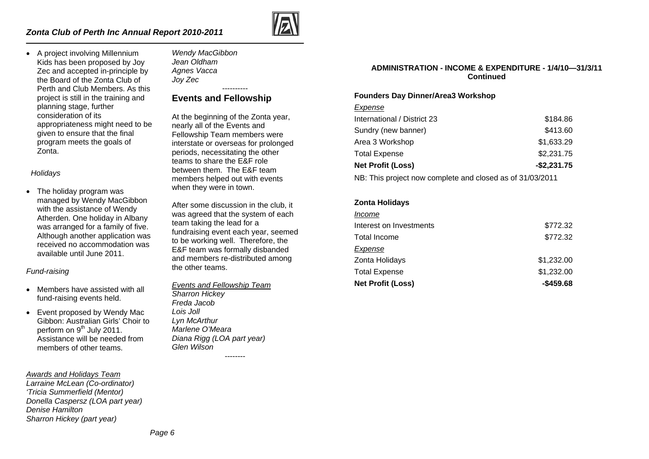

• A project involving Millennium Kids has been proposed by Joy Zec and accepted in-principle by the Board of the Zonta Club of Perth and Club Members. As this project is still in the training and planning stage, further consideration of its appropriateness might need to be given to ensure that the final program meets the goals of Zonta.

*Holidays* 

• The holiday program was managed by Wendy MacGibbon with the assistance of Wendy Atherden. One holiday in Albany was arranged for a family of five. Although another application was received no accommodation was available until June 2011.

### *Fund-raising*

- Members have assisted with all fund-raising events held.
- Event proposed by Wendy Mac Gibbon: Australian Girls' Choir to perform on 9<sup>th</sup> July 2011. Assistance will be needed from members of other teams.

### *Awards and Holidays Team*

*Larraine McLean (Co-ordinator) 'Tricia Summerfield (Mentor) Donella Caspersz (LOA part year) Denise Hamilton Sharron Hickey (part year)* 

*Wendy MacGibbon Jean Oldham Agnes Vacca Joy Zec* 

## **Events and Fellowship**

At the beginning of the Zonta year, nearly all of the Events and Fellowship Team members were interstate or overseas for prolonged periods, necessitating the other teams to share the E&F role between them. The E&F team members helped out with events when they were in town.

----------

After some discussion in the club, it was agreed that the system of each team taking the lead for a fundraising event each year, seemed to be working well. Therefore, the E&F team was formally disbanded and members re-distributed among the other teams.

*Events and Fellowship Team Sharron Hickey Freda Jacob Lois Joll Lyn McArthur Marlene O'Meara Diana Rigg (LOA part year) Glen Wilson* 

--------

### **ADMINISTRATION - INCOME & EXPENDITURE - 1/4/10—31/3/11 Continued**

### **Founders Day Dinner/Area3 Workshop**

*Expense*

| <b>Net Profit (Loss)</b>    | $-$2,231.75$ |
|-----------------------------|--------------|
| <b>Total Expense</b>        | \$2,231.75   |
| Area 3 Workshop             | \$1,633.29   |
| Sundry (new banner)         | \$413.60     |
| International / District 23 | \$184.86     |

NB: This project now complete and closed as of 31/03/2011

### **Zonta Holidays**

| <b>Net Profit (Loss)</b> | $-$ \$459.68 |
|--------------------------|--------------|
| Total Expense            | \$1,232.00   |
| Zonta Holidays           | \$1,232.00   |
| Expense                  |              |
| Total Income             | \$772.32     |
| Interest on Investments  | \$772.32     |
| Income                   |              |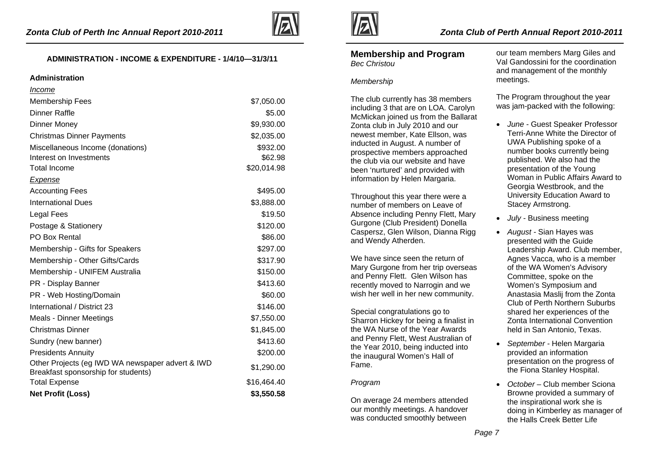

## **ADMINISTRATION - INCOME & EXPENDITURE - 1/4/10—31/3/11**

#### **Administration**

| <i><u><b>Income</b></u></i>                                                             |             |
|-----------------------------------------------------------------------------------------|-------------|
| <b>Membership Fees</b>                                                                  | \$7,050.00  |
| <b>Dinner Raffle</b>                                                                    | \$5.00      |
| <b>Dinner Money</b>                                                                     | \$9,930.00  |
| <b>Christmas Dinner Payments</b>                                                        | \$2,035.00  |
| Miscellaneous Income (donations)                                                        | \$932.00    |
| Interest on Investments                                                                 | \$62.98     |
| <b>Total Income</b>                                                                     | \$20,014.98 |
| <b>Expense</b>                                                                          |             |
| <b>Accounting Fees</b>                                                                  | \$495.00    |
| <b>International Dues</b>                                                               | \$3,888.00  |
| Legal Fees                                                                              | \$19.50     |
| Postage & Stationery                                                                    | \$120.00    |
| <b>PO Box Rental</b>                                                                    | \$86.00     |
| Membership - Gifts for Speakers                                                         | \$297.00    |
| Membership - Other Gifts/Cards                                                          | \$317.90    |
| Membership - UNIFEM Australia                                                           | \$150.00    |
| PR - Display Banner                                                                     | \$413.60    |
| PR - Web Hosting/Domain                                                                 | \$60.00     |
| International / District 23                                                             | \$146.00    |
| <b>Meals - Dinner Meetings</b>                                                          | \$7,550.00  |
| <b>Christmas Dinner</b>                                                                 | \$1,845.00  |
| Sundry (new banner)                                                                     | \$413.60    |
| <b>Presidents Annuity</b>                                                               | \$200.00    |
| Other Projects (eg IWD WA newspaper advert & IWD<br>Breakfast sponsorship for students) | \$1,290.00  |
| <b>Total Expense</b>                                                                    | \$16,464.40 |
| <b>Net Profit (Loss)</b>                                                                | \$3,550.58  |



### **Membership and Program**  *Bec Christou*

#### *Membership*

The club currently has 38 members including 3 that are on LOA. Carolyn McMickan joined us from the Ballarat Zonta club in July 2010 and our newest member, Kate Ellson, was inducted in August. A number of prospective members approached the club via our website and have been 'nurtured' and provided with information by Helen Margaria.

Throughout this year there were a number of members on Leave of Absence including Penny Flett, Mary Gurgone (Club President) Donella Caspersz, Glen Wilson, Dianna Rigg and Wendy Atherden.

We have since seen the return of Mary Gurgone from her trip overseas and Penny Flett. Glen Wilson has recently moved to Narrogin and we wish her well in her new community.

Special congratulations go to Sharron Hickey for being a finalist in the WA Nurse of the Year Awards and Penny Flett, West Australian of the Year 2010, being inducted into the inaugural Women's Hall of Fame.

### *Program*

On average 24 members attended our monthly meetings. A handover was conducted smoothly between

our team members Marg Giles and Val Gandossini for the coordination and management of the monthly meetings.

The Program throughout the year was jam-packed with the following:

- *June -* Guest Speaker Professor Terri-Anne White the Director of UWA Publishing spoke of a number books currently being published. We also had the presentation of the Young Woman in Public Affairs Award to Georgia Westbrook, and the University Education Award to Stacey Armstrong.
- •*July -* Business meeting
- • *August -* Sian Hayes was presented with the Guide Leadership Award. Club member, Agnes Vacca, who is a member of the WA Women's Advisory Committee, spoke on the Women's Symposium and Anastasia Maslij from the Zonta Club of Perth Northern Suburbs shared her experiences of the Zonta International Convention held in San Antonio, Texas.
- *September -* Helen Margaria provided an information presentation on the progress of the Fiona Stanley Hospital.
- • *October –* Club member Sciona Browne provided a summary of the inspirational work she is doing in Kimberley as manager of the Halls Creek Better Life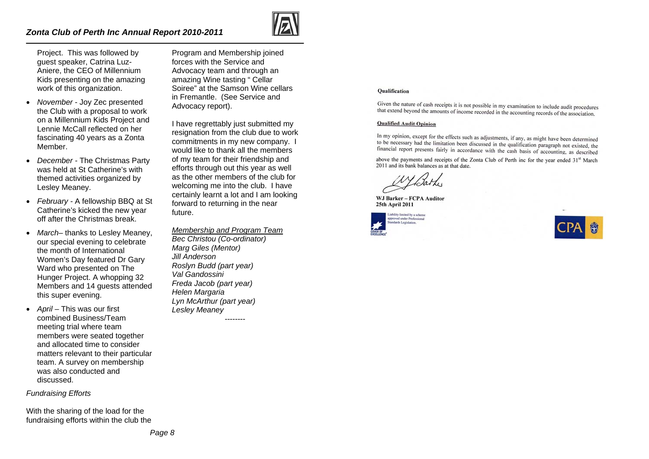### *Zonta Club of Perth Inc Annual Report 2010-2011*



Project. This was followed by guest speaker, Catrina Luz-Aniere, the CEO of Millennium Kids presenting on the amazing work of this organization.

- *November*  Joy Zec presented the Club with a proposal to work on a Millennium Kids Project and Lennie McCall reflected on her fascinating 40 years as a Zonta Member.
- *December -* The Christmas Party was held at St Catherine's with themed activities organized by Lesley Meaney.
- *February* A fellowship BBQ at St Catherine's kicked the new year off after the Christmas break.
- *March–* thanks to Lesley Meaney, our special evening to celebrate the month of International Women's Day featured Dr Gary Ward who presented on The Hunger Project. A whopping 32 Members and 14 guests attended this super evening.
- *April –* This was our first combined Business/Team meeting trial where team members were seated together and allocated time to consider matters relevant to their particular team. A survey on membership was also conducted and discussed.

### *Fundraising Efforts*

With the sharing of the load for the fundraising efforts within the club the

Program and Membership joined forces with the Service and Advocacy team and through an amazing Wine tasting " Cellar Soiree" at the Samson Wine cellars in Fremantle. (See Service and Advocacy report).

I have regrettably just submitted my resignation from the club due to work commitments in my new company. I would like to thank all the members of my team for their friendship and efforts through out this year as well as the other members of the club for welcoming me into the club. I have certainly learnt a lot and I am looking forward to returning in the near future.

*Membership and Program Team Bec Christou (Co-ordinator) Marg Giles (Mentor) Jill Anderson Roslyn Budd (part year) Val Gandossini Freda Jacob (part year) Helen Margaria Lyn McArthur (part year) Lesley Meaney* 

--------

#### **Oualification**

Given the nature of cash receipts it is not possible in my examination to include audit procedures that extend beyond the amounts of income recorded in the accounting records of the association.

#### **Qualified Audit Opinion**

In my opinion, except for the effects such as adjustments, if any, as might have been determined to be necessary had the limitation been discussed in the qualification paragraph not existed, the financial report presents fairly in accordance with the cash basis of accounting, as described

above the payments and receipts of the Zonta Club of Perth inc for the vear ended 31<sup>st</sup> March 2011 and its bank balances as at that date.

WJ Barker - FCPA Auditor 25th April 2011



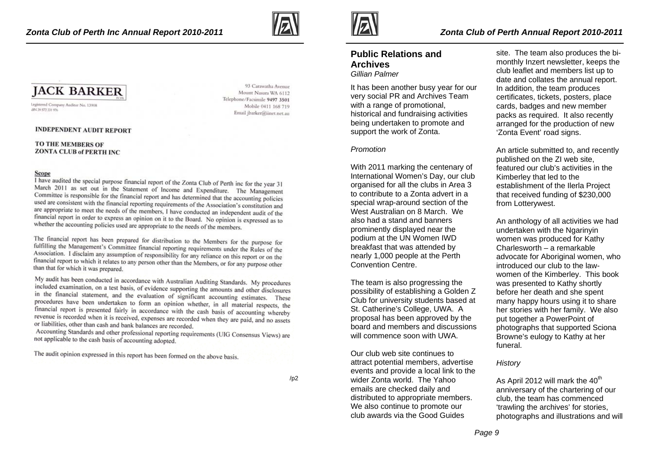

93 Carawatha Avenue

Mobile 0411 168 719

Mount Nasura WA 6112 Telephone/Facsimile 9497 3501

Email jbarker@jinet.net.au



Legistered Company Auditor No. 13908 HPG 30 572 551 976

#### **INDEPENDENT AUDIT REPORT**

#### TO THE MEMBERS OF **ZONTA CLUB of PERTH INC**

#### Scope

I have audited the special purpose financial report of the Zonta Club of Perth inc for the year 31 March 2011 as set out in the Statement of Income and Expenditure. The Management<br>Committee is reconciled as the Statement of Income and Expenditure. The Management Committee is responsible for the financial report and has determined that the accounting policies used are consistent with the financial reporting requirements of the Association's constitution and are appropriate to meet the needs of the members, I have conducted an independent audit of the financial report in order to express an opinion on it to the Board. No opinion is expressed as to<br>whether the accounting optimization of the Board. No opinion is expressed as to whether the accounting policies used are appropriate to the needs of the members.

The financial report has been prepared for distribution to the Members for the purpose for fulfilling the Members of the purpose of fulfilling the Management's Committee financial reporting requirements under the purpose for<br>Association 1 dicelaim and discussion and discussion and discussion and discussion and discussion and discussion Association. I disclaim any assumption of responsibility for any reliance on this report or on the<br>financial sense is used to the think of the set of the set of the set of the set of the set of the set of the set of the se financial report to which it relates to any person other than the Members, or for any purpose other than that for which it was prepared.

My audit has been conducted in accordance with Australian Auditing Standards. My procedures included examination, on a test basis, of evidence supporting the amounts and other disclosures included examination, on a test basis, of evidence supporting the amounts and other disclosures<br>in the imancial statement, and the evaluation of significant accounting estimates. These procedures have been undertaken to form an opinion whether, in all material respects, the financial report is presented fairly in accordance with the cash basis of accounting whereby revenue is recorded when it is received, expenses are recorded when they are paid, and no assets or liabilities, other than cash and bank balances are recorded.

Accounting Standards and other professional reporting requirements (UIG Consensus Views) are not applicable to the cash basis of accounting adopted.

The audit opinion expressed in this report has been formed on the above basis.



## **Public Relations and Archives**

*Gillian Palmer* 

It has been another busy year for our very social PR and Archives Team with a range of promotional. historical and fundraising activities being undertaken to promote and support the work of Zonta.

#### *Promotion*

With 2011 marking the centenary of International Women's Day, our club organised for all the clubs in Area 3 to contribute to a Zonta advert in a special wrap-around section of the West Australian on 8 March. We also had a stand and banners prominently displayed near the podium at the UN Women IWD breakfast that was attended by nearly 1,000 people at the Perth Convention Centre.

The team is also progressing the possibility of establishing a Golden Z Club for university students based at St. Catherine's College, UWA. A proposal has been approved by the board and members and discussions will commence soon with UWA.

Our club web site continues to attract potential members, advertise events and provide a local link to the wider Zonta world. The Yahoo emails are checked daily and distributed to appropriate members. We also continue to promote our club awards via the Good Guides

site. The team also produces the bimonthly Inzert newsletter, keeps the club leaflet and members list up to date and collates the annual report. In addition, the team produces certificates, tickets, posters, place cards, badges and new member packs as required. It also recently arranged for the production of new 'Zonta Event' road signs.

An article submitted to, and recently published on the ZI web site, featured our club's activities in the Kimberley that led to the establishment of the Ilerla Project that received funding of \$230,000 from Lotterywest.

An anthology of all activities we had undertaken with the Ngarinyin women was produced for Kathy Charlesworth – a remarkable advocate for Aboriginal women, who introduced our club to the lawwomen of the Kimberley. This book was presented to Kathy shortly before her death and she spent many happy hours using it to share her stories with her family. We also put together a PowerPoint of photographs that supported Sciona Browne's eulogy to Kathy at her funeral.

#### *History*

As April 2012 will mark the  $40<sup>th</sup>$ anniversary of the chartering of our club, the team has commenced 'trawling the archives' for stories, photographs and illustrations and will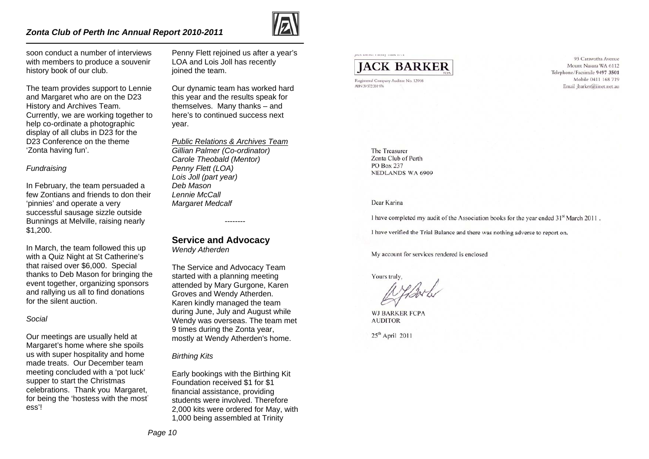### *Zonta Club of Perth Inc Annual Report 2010-2011*



soon conduct a number of interviews with members to produce a souvenir history book of our club.

The team provides support to Lennie and Margaret who are on the D23 History and Archives Team. Currently, we are working together to help co-ordinate a photographic display of all clubs in D23 for the D23 Conference on the theme 'Zonta having fun'.

#### *Fundraising*

In February, the team persuaded a few Zontians and friends to don their 'pinnies' and operate a very successful sausage sizzle outside Bunnings at Melville, raising nearly \$1,200.

In March, the team followed this up with a Quiz Night at St Catherine's that raised over \$6,000. Special thanks to Deb Mason for bringing the event together, organizing sponsors and rallying us all to find donations for the silent auction.

#### *Social*

Our meetings are usually held at Margaret's home where she spoils us with super hospitality and home made treats. Our December team meeting concluded with a 'pot luck' supper to start the Christmas celebrations. Thank you Margaret, for being the 'hostess with the most' ess'!

Penny Flett rejoined us after a year's LOA and Lois Joll has recently ioined the team.

Our dynamic team has worked hard this year and the results speak for themselves. Many thanks – and here's to continued success next year.

*Public Relations & Archives TeamGillian Palmer (Co-ordinator) Carole Theobald (Mentor) Penny Flett (LOA) Lois Joll (part year) Deb Mason Lennie McCall Margaret Medcalf* 

--------

**Service and Advocacy** 

*Wendy Atherden* 

The Service and Advocacy Team started with a planning meeting attended by Mary Gurgone, Karen Groves and Wendy Atherden. Karen kindly managed the team during June, July and August while Wendy was overseas. The team met 9 times during the Zonta year, mostly at Wendy Atherden's home.

*Birthing Kits* 

Early bookings with the Birthing Kit Foundation received \$1 for \$1 financial assistance, providing students were involved. Therefore 2,000 kits were ordered for May, with 1,000 being assembled at Trinity

# **IACK BARKER**

Registered Company Auditor No. 13908 ABN 39 572 331 976

93 Carawatha Avenue Mount Nasura WA 6112 Telephone/Facsimile 9497 3501 Mobile 0411 168 719 Email ibarker@iinet.net.au

The Treasurer Zonta Club of Perth **PO Box 237 NEDLANDS WA 6909** 

#### Dear Karina

I have completed my audit of the Association books for the year ended 31<sup>st</sup> March 2011.

I have verified the Trial Balance and there was nothing adverse to report on.

My account for services rendered is enclosed

Yours truly,

**WJ BARKER FCPA AUDITOR** 

 $25<sup>th</sup>$  April 2011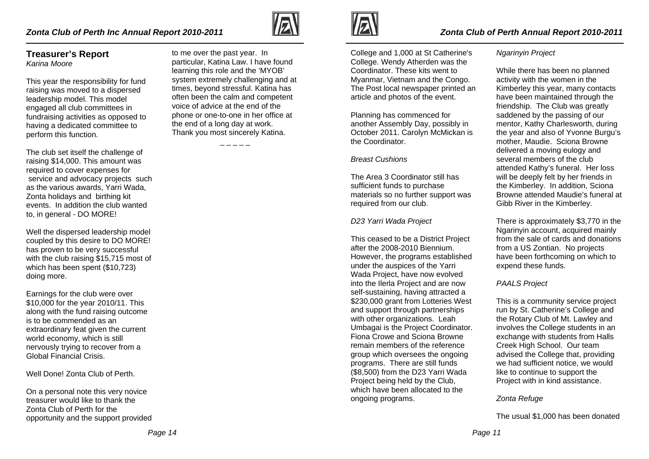## *Zonta Club of Perth Inc Annual Report 2010-2011*

### **Treasurer's Report**  *Karina Moore*

This year the responsibility for fund raising was moved to a dispersed leadership model. This model engaged all club committees in fundraising activities as opposed to having a dedicated committee to perform this function.

The club set itself the challenge of raising \$14,000. This amount was required to cover expenses for service and advocacy projects such as the various awards, Yarri Wada, Zonta holidays and birthing kit events. In addition the club wanted to, in general - DO MORE!

Well the dispersed leadership model coupled by this desire to DO MORE! has proven to be very successful with the club raising \$15,715 most of which has been spent (\$10,723) doing more.

Earnings for the club were over \$10,000 for the year 2010/11. This along with the fund raising outcome is to be commended as an extraordinary feat given the current world economy, which is still nervously trying to recover from a Global Financial Crisis.

Well Done! Zonta Club of Perth.

On a personal note this very novice treasurer would like to thank the Zonta Club of Perth for the opportunity and the support provided

to me over the past year. In particular, Katina Law. I have found learning this role and the 'MYOB' system extremely challenging and at times, beyond stressful. Katina has often been the calm and competent voice of advice at the end of the phone or one-to-one in her office at the end of a long day at work. Thank you most sincerely Katina.



College and 1,000 at St Catherine's College. Wendy Atherden was the Coordinator. These kits went to Myanmar, Vietnam and the Congo. The Post local newspaper printed an article and photos of the event.

Planning has commenced for another Assembly Day, possibly in October 2011. Carolyn McMickan is the Coordinator.

#### *Breast Cushions*

The Area 3 Coordinator still has sufficient funds to purchase materials so no further support was required from our club.

### *D23 Yarri Wada Project*

This ceased to be a District Project after the 2008-2010 Biennium. However, the programs established under the auspices of the Yarri Wada Project, have now evolved into the Ilerla Project and are now self-sustaining, having attracted a \$230,000 grant from Lotteries West and support through partnerships with other organizations. Leah Umbagai is the Project Coordinator. Fiona Crowe and Sciona Browne remain members of the reference group which oversees the ongoing programs. There are still funds (\$8,500) from the D23 Yarri Wada Project being held by the Club, which have been allocated to the ongoing programs.

#### *Ngarinyin Project*

While there has been no planned activity with the women in the Kimberley this year, many contacts have been maintained through the friendship. The Club was greatly saddened by the passing of our mentor, Kathy Charlesworth, during the year and also of Yvonne Burgu's mother, Maudie. Sciona Browne delivered a moving eulogy and several members of the club attended Kathy's funeral. Her loss will be deeply felt by her friends in the Kimberley. In addition, Sciona Browne attended Maudie's funeral at Gibb River in the Kimberley.

There is approximately \$3,770 in the Ngarinyin account, acquired mainly from the sale of cards and donations from a US Zontian. No projects have been forthcoming on which to expend these funds.

### *PAALS Project*

This is a community service project run by St. Catherine's College and the Rotary Club of Mt. Lawley and involves the College students in an exchange with students from Halls Creek High School. Our team advised the College that, providing we had sufficient notice, we would like to continue to support the Project with in kind assistance.

### *Zonta Refuge*

The usual \$1,000 has been donated